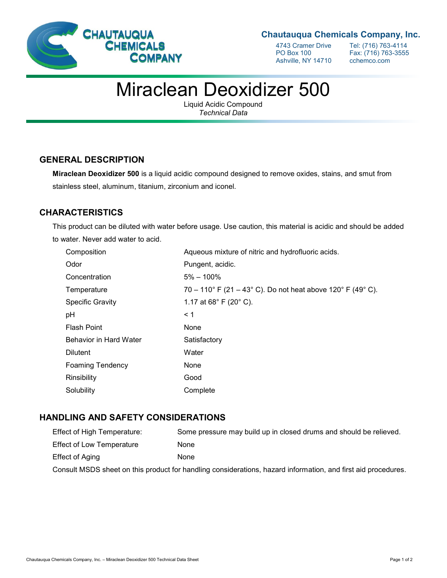

### **Chautauqua Chemicals Company, Inc.**

Ashville, NY 14710

4743 Cramer Drive Tel: (716) 763-4114<br>PO Box 100 Fax: (716) 763-3555 Fax: (716) 763-3555<br>cchemco.com

# Miraclean Deoxidizer 500

Liquid Acidic Compound *Technical Data*

#### **GENERAL DESCRIPTION**

**Miraclean Deoxidizer 500** is a liquid acidic compound designed to remove oxides, stains, and smut from stainless steel, aluminum, titanium, zirconium and iconel.

## **CHARACTERISTICS**

This product can be diluted with water before usage. Use caution, this material is acidic and should be added to water. Never add water to acid.

| Composition             | Aqueous mixture of nitric and hydrofluoric acids.           |
|-------------------------|-------------------------------------------------------------|
| Odor                    | Pungent, acidic.                                            |
| Concentration           | $5\% - 100\%$                                               |
| Temperature             | 70 – 110° F (21 – 43° C). Do not heat above 120° F (49° C). |
| <b>Specific Gravity</b> | 1.17 at $68^{\circ}$ F (20 $^{\circ}$ C).                   |
| рH                      | < 1                                                         |
| <b>Flash Point</b>      | <b>None</b>                                                 |
| Behavior in Hard Water  | Satisfactory                                                |
| <b>Dilutent</b>         | Water                                                       |
| <b>Foaming Tendency</b> | None                                                        |
| Rinsibility             | Good                                                        |
| Solubility              | Complete                                                    |

#### **HANDLING AND SAFETY CONSIDERATIONS**

| <b>Effect of High Temperature:</b>                                                                            | Some pressure may build up in closed drums and should be relieved. |
|---------------------------------------------------------------------------------------------------------------|--------------------------------------------------------------------|
| <b>Effect of Low Temperature</b>                                                                              | None                                                               |
| Effect of Aging                                                                                               | None                                                               |
| Consult MSDS sheet on this product for handling considerations, hazard information, and first aid procedures. |                                                                    |